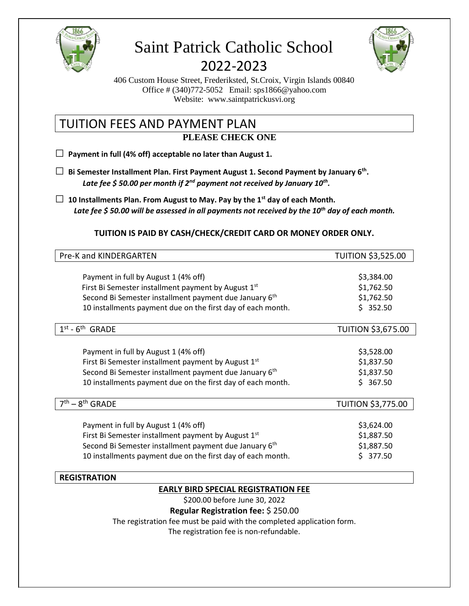

# Saint Patrick Catholic School 2022-2023



406 Custom House Street, Frederiksted, St.Croix, Virgin Islands 00840 Office # (340)772-5052 Email: sps1866@yahoo.com Website: www.saintpatrickusvi.org

## TUITION FEES AND PAYMENT PLAN **PLEASE CHECK ONE**

**□ Payment in full (4% off) acceptable no later than August 1.**

- **□ Bi Semester Installment Plan. First Payment August 1. Second Payment by January 6th .** *Late fee \$ 50.00 per month if 2nd payment not received by January 10th .*
- **□ 10 Installments Plan. From August to May. Pay by the 1st day of each Month.** *Late fee \$ 50.00 will be assessed in all payments not received by the 10th day of each month.*

## **TUITION IS PAID BY CASH/CHECK/CREDIT CARD OR MONEY ORDER ONLY.**

| Pre-K and KINDERGARTEN                                             | <b>TUITION \$3,525.00</b> |
|--------------------------------------------------------------------|---------------------------|
|                                                                    |                           |
| Payment in full by August 1 (4% off)                               | \$3,384.00                |
| First Bi Semester installment payment by August 1 <sup>st</sup>    | \$1,762.50                |
| Second Bi Semester installment payment due January 6 <sup>th</sup> | \$1,762.50                |
| 10 installments payment due on the first day of each month.        | \$352.50                  |
| $-6th$<br>1 <sup>st</sup><br><b>GRADE</b>                          | <b>TUITION \$3,675.00</b> |
|                                                                    |                           |
| Payment in full by August 1 (4% off)                               | \$3,528.00                |
| First Bi Semester installment payment by August 1 <sup>st</sup>    | \$1,837.50                |
| Second Bi Semester installment payment due January 6 <sup>th</sup> | \$1,837.50                |
| 10 installments payment due on the first day of each month.        | \$367.50                  |
| $7th - 8th$ GRADE                                                  | <b>TUITION \$3,775.00</b> |
|                                                                    |                           |
| Payment in full by August 1 (4% off)                               | \$3,624.00                |
| First Bi Semester installment payment by August 1st                | \$1,887.50                |
| Second Bi Semester installment payment due January 6 <sup>th</sup> | \$1,887.50                |
| 10 installments payment due on the first day of each month.        | 377.50                    |

## **REGISTRATION EARLY BIRD SPECIAL REGISTRATION FEE**

\$200.00 before June 30, 2022

#### **Regular Registration fee:** \$ 250.00

The registration fee must be paid with the completed application form.

The registration fee is non-refundable.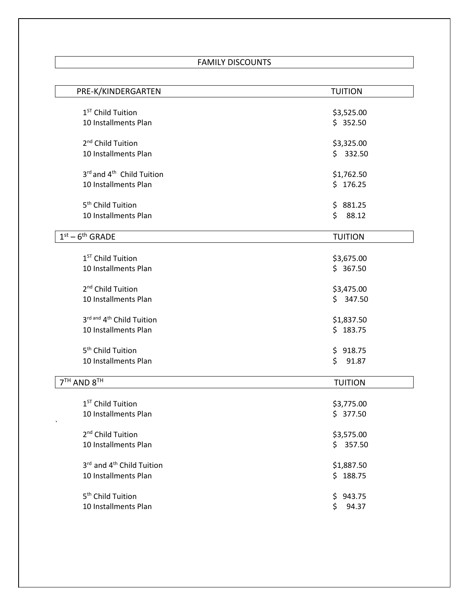## FAMILY DISCOUNTS

| PRE-K/KINDERGARTEN                    | <b>TUITION</b> |
|---------------------------------------|----------------|
|                                       |                |
| 1 <sup>ST</sup> Child Tuition         | \$3,525.00     |
| 10 Installments Plan                  | \$352.50       |
| 2 <sup>nd</sup> Child Tuition         | \$3,325.00     |
| 10 Installments Plan                  | \$332.50       |
|                                       |                |
| 3rd and 4 <sup>th</sup> Child Tuition | \$1,762.50     |
| 10 Installments Plan                  | \$176.25       |
|                                       |                |
| 5 <sup>th</sup> Child Tuition         | \$881.25       |
| 10 Installments Plan                  | \$88.12        |
| $1st - 6th$ GRADE                     | <b>TUITION</b> |
|                                       |                |
| 1 <sup>ST</sup> Child Tuition         | \$3,675.00     |
| 10 Installments Plan                  | \$367.50       |
|                                       |                |
| 2 <sup>nd</sup> Child Tuition         | \$3,475.00     |
| 10 Installments Plan                  | \$347.50       |
|                                       |                |
| 3rd and 4th Child Tuition             | \$1,837.50     |
| 10 Installments Plan                  | \$183.75       |
|                                       |                |
| 5 <sup>th</sup> Child Tuition         | \$918.75       |
| 10 Installments Plan                  | \$<br>91.87    |
| 7TH AND 8TH                           | <b>TUITION</b> |
|                                       |                |
| 1 <sup>ST</sup> Child Tuition         | \$3,775.00     |
| 10 Installments Plan                  | \$377.50       |
|                                       |                |
| 2 <sup>nd</sup> Child Tuition         | \$3,575.00     |
| 10 Installments Plan                  | \$357.50       |
|                                       |                |
| 3rd and 4 <sup>th</sup> Child Tuition | \$1,887.50     |
| 10 Installments Plan                  | \$188.75       |
| 5 <sup>th</sup> Child Tuition         | 943.75<br>\$   |
| 10 Installments Plan                  | \$<br>94.37    |
|                                       |                |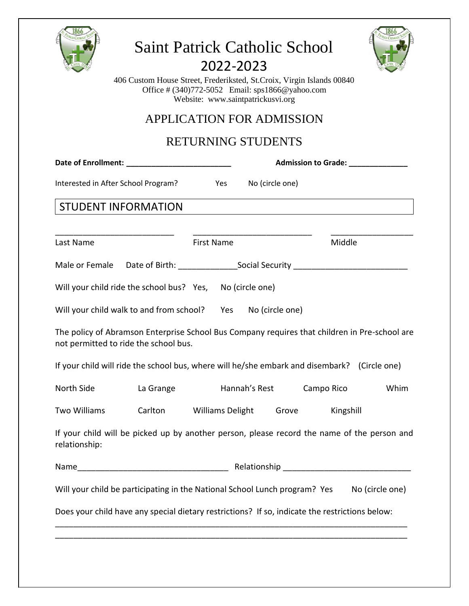| <b>Saint Patrick Catholic School</b><br>2022-2023<br>406 Custom House Street, Frederiksted, St.Croix, Virgin Islands 00840<br>Office # (340)772-5052 Email: sps1866@yahoo.com<br>Website: www.saintpatrickusvi.org<br><b>APPLICATION FOR ADMISSION</b> |                                                                                                      |                           |                        |                                   |      |  |
|--------------------------------------------------------------------------------------------------------------------------------------------------------------------------------------------------------------------------------------------------------|------------------------------------------------------------------------------------------------------|---------------------------|------------------------|-----------------------------------|------|--|
|                                                                                                                                                                                                                                                        |                                                                                                      | <b>RETURNING STUDENTS</b> |                        |                                   |      |  |
|                                                                                                                                                                                                                                                        |                                                                                                      |                           |                        | Admission to Grade: _____________ |      |  |
|                                                                                                                                                                                                                                                        | Interested in After School Program? Yes                                                              |                           | No (circle one)        |                                   |      |  |
|                                                                                                                                                                                                                                                        | <b>STUDENT INFORMATION</b>                                                                           |                           |                        |                                   |      |  |
|                                                                                                                                                                                                                                                        |                                                                                                      |                           |                        |                                   |      |  |
| Last Name                                                                                                                                                                                                                                              |                                                                                                      | <b>First Name</b>         |                        | Middle                            |      |  |
|                                                                                                                                                                                                                                                        | Male or Female Date of Birth: ______________________Social Security ________________________________ |                           |                        |                                   |      |  |
|                                                                                                                                                                                                                                                        | Will your child ride the school bus? Yes, No (circle one)                                            |                           |                        |                                   |      |  |
|                                                                                                                                                                                                                                                        | Will your child walk to and from school? Yes                                                         |                           | No (circle one)        |                                   |      |  |
| The policy of Abramson Enterprise School Bus Company requires that children in Pre-school are<br>not permitted to ride the school bus.                                                                                                                 |                                                                                                      |                           |                        |                                   |      |  |
|                                                                                                                                                                                                                                                        | If your child will ride the school bus, where will he/she embark and disembark? (Circle one)         |                           |                        |                                   |      |  |
| North Side                                                                                                                                                                                                                                             | La Grange                                                                                            |                           | Hannah's Rest          | Campo Rico                        | Whim |  |
| Two Williams                                                                                                                                                                                                                                           | Carlton                                                                                              |                           | Williams Delight Grove | Kingshill                         |      |  |
| If your child will be picked up by another person, please record the name of the person and<br>relationship:                                                                                                                                           |                                                                                                      |                           |                        |                                   |      |  |
|                                                                                                                                                                                                                                                        |                                                                                                      |                           |                        |                                   |      |  |
| Will your child be participating in the National School Lunch program? Yes<br>No (circle one)                                                                                                                                                          |                                                                                                      |                           |                        |                                   |      |  |
| Does your child have any special dietary restrictions? If so, indicate the restrictions below:                                                                                                                                                         |                                                                                                      |                           |                        |                                   |      |  |
|                                                                                                                                                                                                                                                        |                                                                                                      |                           |                        |                                   |      |  |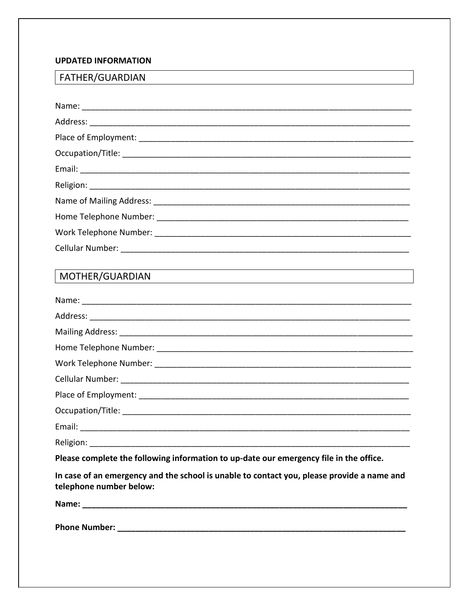#### **UPDATED INFORMATION**

## FATHER/GUARDIAN

| MOTHER/GUARDIAN |
|-----------------|
|                 |
|                 |
|                 |
|                 |
|                 |
|                 |
|                 |
|                 |
|                 |
|                 |

Please complete the following information to up-date our emergency file in the office.

In case of an emergency and the school is unable to contact you, please provide a name and telephone number below: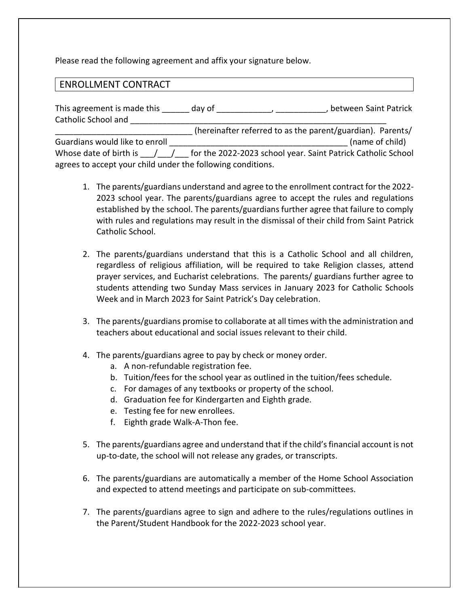Please read the following agreement and affix your signature below.

## ENROLLMENT CONTRACT

| This agreement is made this                                 | day of |                                                            | between Saint Patrick                                        |
|-------------------------------------------------------------|--------|------------------------------------------------------------|--------------------------------------------------------------|
| Catholic School and                                         |        |                                                            |                                                              |
|                                                             |        | (hereinafter referred to as the parent/guardian). Parents/ |                                                              |
| Guardians would like to enroll                              |        |                                                            | (name of child)                                              |
| Whose date of birth is                                      |        |                                                            | for the 2022-2023 school year. Saint Patrick Catholic School |
| agrees to accept your child under the following conditions. |        |                                                            |                                                              |

- 1. The parents/guardians understand and agree to the enrollment contract for the 2022- 2023 school year. The parents/guardians agree to accept the rules and regulations established by the school. The parents/guardians further agree that failure to comply with rules and regulations may result in the dismissal of their child from Saint Patrick Catholic School.
- 2. The parents/guardians understand that this is a Catholic School and all children, regardless of religious affiliation, will be required to take Religion classes, attend prayer services, and Eucharist celebrations. The parents/ guardians further agree to students attending two Sunday Mass services in January 2023 for Catholic Schools Week and in March 2023 for Saint Patrick's Day celebration.
- 3. The parents/guardians promise to collaborate at all times with the administration and teachers about educational and social issues relevant to their child.
- 4. The parents/guardians agree to pay by check or money order.
	- a. A non-refundable registration fee.
	- b. Tuition/fees for the school year as outlined in the tuition/fees schedule.
	- c. For damages of any textbooks or property of the school.
	- d. Graduation fee for Kindergarten and Eighth grade.
	- e. Testing fee for new enrollees.
	- f. Eighth grade Walk-A-Thon fee.
- 5. The parents/guardians agree and understand that if the child's financial account is not up-to-date, the school will not release any grades, or transcripts.
- 6. The parents/guardians are automatically a member of the Home School Association and expected to attend meetings and participate on sub-committees.
- 7. The parents/guardians agree to sign and adhere to the rules/regulations outlines in the Parent/Student Handbook for the 2022-2023 school year.